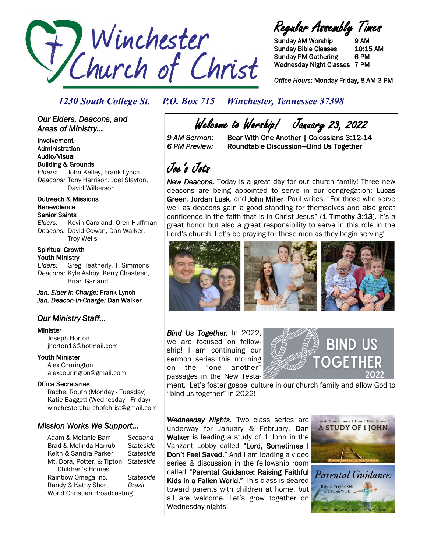

Regular Assembly Times

Sunday AM Worship 9 AM Sunday Bible Classes 10:15 AM Sunday PM Gathering 6 PM Wednesday Night Classes 7 PM

*Office Hours:* Monday-Friday, 8 AM-3 PM

### *1230 South College St. P.O. Box 715 Winchester, Tennessee 37398*

### *Our Elders, Deacons, and Areas of Ministry...*

Involvement Administration Audio/Visual Building & Grounds *Elders:* John Kelley, Frank Lynch *Deacons:* Tony Harrison, Joel Slayton, David Wilkerson

#### Outreach & Missions Benevolence Senior Saints

*Elders:* Kevin Caroland, Oren Huffman *Deacons:* David Cowan, Dan Walker, Troy Wells

#### Spiritual Growth Youth Ministry

*Elders:* Greg Heatherly, T. Simmons *Deacons:* Kyle Ashby, Kerry Chasteen, Brian Garland

*Jan. Elder-In-Charge:* Frank Lynch *Jan. Deacon-In-Charge:* Dan Walker

### *Our Ministry Staff…*

#### Minister

 Joseph Horton jhorton16@hotmail.com

Youth Minister Alex Courington alexcourington@gmail.com

### Office Secretaries

 Rachel Routh (Monday - Tuesday) Katie Baggett (Wednesday - Friday) winchesterchurchofchrist@gmail.com

### *Mission Works We Support…*

Adam & Melanie Barr *Scotland* Brad & Melinda Harrub *Stateside* Keith & Sandra Parker *Stateside* Mt. Dora, Potter, & Tipton *Stateside* Children's Homes Rainbow Omega Inc. *Stateside* Randy & Kathy Short *Brazil* World Christian Broadcasting

Welcome to Worship! January 23, 2022<br>11-12:3 9 AM Sermon: Bear With One Another | Colossians 3:12

Bear With One Another | Colossians 3:12-14 *6 PM Preview:* Roundtable Discussion—Bind Us Together

# Joe's Jots

*New Deacons.* Today is a great day for our church family! Three new deacons are being appointed to serve in our congregation: Lucas Green, Jordan Lusk, and John Miller. Paul writes, "For those who serve well as deacons gain a good standing for themselves and also great confidence in the faith that is in Christ Jesus" (1 Timothy 3:13). It's a great honor but also a great responsibility to serve in this role in the Lord's church. Let's be praying for these men as they begin serving!



*Bind Us Together.* In 2022, we are focused on fellowship! I am continuing our sermon series this morning on the "one another" passages in the New Testa-



ment. Let's foster gospel culture in our church family and allow God to "bind us together" in 2022!

*Wednesday Nights.* Two class series are underway for January & February. Dan Walker is leading a study of 1 John in the Vanzant Lobby called "Lord, Sometimes I Don't Feel Saved." And I am leading a video series & discussion in the fellowship room called "Parental Guidance: Raising Faithful Kids in a Fallen World." This class is geared toward parents with children at home, but all are welcome. Let's grow together on Wednesday nights!